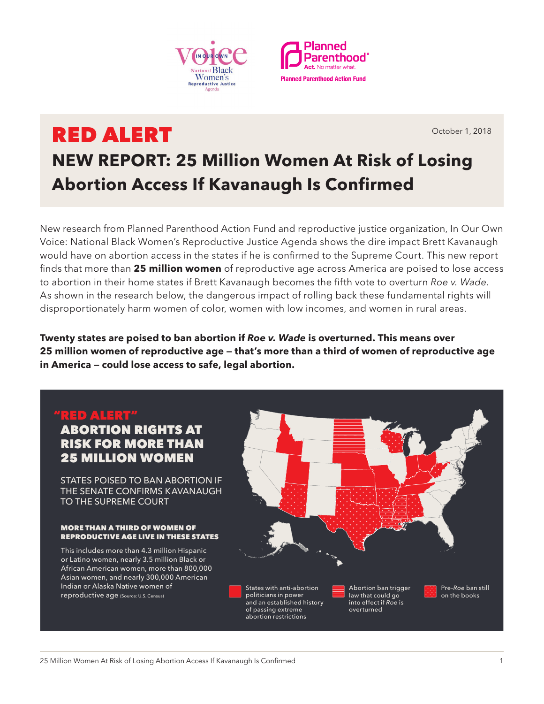



# RED ALERT **NEW REPORT: 25 Million Women At Risk of Losing Abortion Access If Kavanaugh Is Confirmed**

New research from Planned Parenthood Action Fund and reproductive justice organization, In Our Own Voice: National Black Women's Reproductive Justice Agenda shows the dire impact Brett Kavanaugh would have on abortion access in the states if he is confirmed to the Supreme Court. This new report finds that more than **25 million women** of reproductive age across America are poised to lose access to abortion in their home states if Brett Kavanaugh becomes the fifth vote to overturn *Roe v. Wade*. As shown in the research below, the dangerous impact of rolling back these fundamental rights will disproportionately harm women of color, women with low incomes, and women in rural areas.

**Twenty states are poised to ban abortion if** *Roe v. Wade* **is overturned. This means over 25 million women of reproductive age — that's more than a third of women of reproductive age in America — could lose access to safe, legal abortion.** 

> of passing extreme abortion restrictions

# "RED ALERT" ABORTION RIGHTS AT RISK FOR MORE THAN 25 MILLION WOMEN

STATES POISED TO BAN ABORTION IF THE SENATE CONFIRMS KAVANAUGH TO THE SUPREME COURT

### MORE THAN A THIRD OF WOMEN OF REPRODUCTIVE AGE LIVE IN THESE STATES

This includes more than 4.3 million Hispanic or Latino women, nearly 3.5 million Black or African American women, more than 800,000 Asian women, and nearly 300,000 American Indian or Alaska Native women of reproductive age (Source: U.S. Census)



overturned

October 1, 2018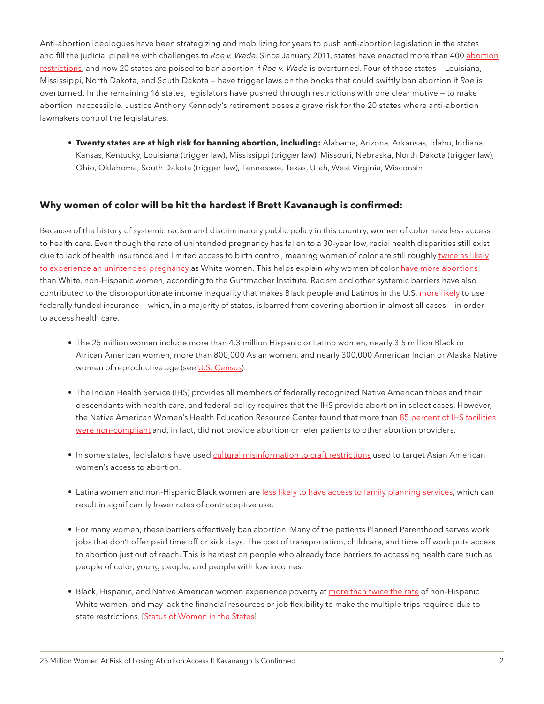Anti-abortion ideologues have been strategizing and mobilizing for years to push anti-abortion legislation in the states and fill the judicial pipeline with challenges to *Roe v. Wade*. Since January 2011, states have enacted more than 400 [abortion](https://www.guttmacher.org/article/2018/01/policy-trends-states-2017) [restrictions](https://www.guttmacher.org/article/2018/01/policy-trends-states-2017), and now 20 states are poised to ban abortion if *Roe v. Wade* is overturned. Four of those states — Louisiana, Mississippi, North Dakota, and South Dakota — have trigger laws on the books that could swiftly ban abortion if *Roe* is overturned. In the remaining 16 states, legislators have pushed through restrictions with one clear motive — to make abortion inaccessible. Justice Anthony Kennedy's retirement poses a grave risk for the 20 states where anti-abortion lawmakers control the legislatures.

• **Twenty states are at high risk for banning abortion, including:** Alabama, Arizona, Arkansas, Idaho, Indiana, Kansas, Kentucky, Louisiana (trigger law), Mississippi (trigger law), Missouri, Nebraska, North Dakota (trigger law), Ohio, Oklahoma, South Dakota (trigger law), Tennessee, Texas, Utah, West Virginia, Wisconsin

## **Why women of color will be hit the hardest if Brett Kavanaugh is confirmed:**

Because of the history of systemic racism and discriminatory public policy in this country, women of color have less access to health care. Even though the rate of unintended pregnancy has fallen to a 30-year low, racial health disparities still exist due to lack of health insurance and limited access to birth control, meaning women of color are still roughly [twice as likely](https://www.guttmacher.org/news-release/2016/us-unintended-pregnancy-rate-falls-30-year-low-declines-seen-almost-all-groups) [to experience an unintended pregnancy](https://www.guttmacher.org/news-release/2016/us-unintended-pregnancy-rate-falls-30-year-low-declines-seen-almost-all-groups) as White women. This helps explain why women of color [have more abortions](https://www.guttmacher.org/infographic/2017/abortion-rates-race-and-ethnicity) than White, non-Hispanic women, according to the Guttmacher Institute. Racism and other systemic barriers have also contributed to the disproportionate income inequality that makes Black people and Latinos in the U.S. [more likely](https://www.kff.org/medicaid/state-indicator/distribution-by-raceethnicity-4/?currentTimeframe=0&sortModel=%7B%22colId%22:%22Location%22,%22sort%22:%22asc%22%7D) to use federally funded insurance — which, in a majority of states, is barred from covering abortion in almost all cases — in order to access health care.

- The 25 million women include more than 4.3 million Hispanic or Latino women, nearly 3.5 million Black or African American women, more than 800,000 Asian women, and nearly 300,000 American Indian or Alaska Native women of reproductive age (see [U.S. Census\)](https://factfinder.census.gov/faces/nav/jsf/pages/index.xhtml).
- The Indian Health Service (IHS) provides all members of federally recognized Native American tribes and their descendants with health care, and federal policy requires that the IHS provide abortion in select cases. However, the Native American Women's Health Education Resource Center found that more than [85 percent of IHS facilities](https://www.ncbi.nlm.nih.gov/pmc/articles/PMC4167108/) [were non-compliant](https://www.ncbi.nlm.nih.gov/pmc/articles/PMC4167108/) and, in fact, did not provide abortion or refer patients to other abortion providers.
- In some states, legislators have used [cultural misinformation to craft restrictions](https://ihrclinic.uchicago.edu/sites/ihrclinic.uchicago.edu/files/uploads/Replacing%20Myths%20with%20Facts%20-%20Sex-Selective%20Abortion%20Laws%20in%20the%20United%20States.pdf?forcedefault=true) used to target Asian American women's access to abortion.
- Latina women and non-Hispanic Black women are [less likely to have access to family planning services,](https://www.healthypeople.gov/2020/topics-objectives/topic/family-planning) which can result in significantly lower rates of contraceptive use.
- For many women, these barriers effectively ban abortion. Many of the patients Planned Parenthood serves work jobs that don't offer paid time off or sick days. The cost of transportation, childcare, and time off work puts access to abortion just out of reach. This is hardest on people who already face barriers to accessing health care such as people of color, young people, and people with low incomes.
- Black, Hispanic, and Native American women experience poverty at [more than twice the rate](https://statusofwomendata.org/women-of-color/spotlight-on-women-of-color-poverty-opportunity-data/) of non-Hispanic White women, and may lack the financial resources or job flexibility to make the multiple trips required due to state restrictions. [\[Status of Women in the States](https://statusofwomendata.org/women-of-color/spotlight-on-women-of-color-poverty-opportunity-data/)]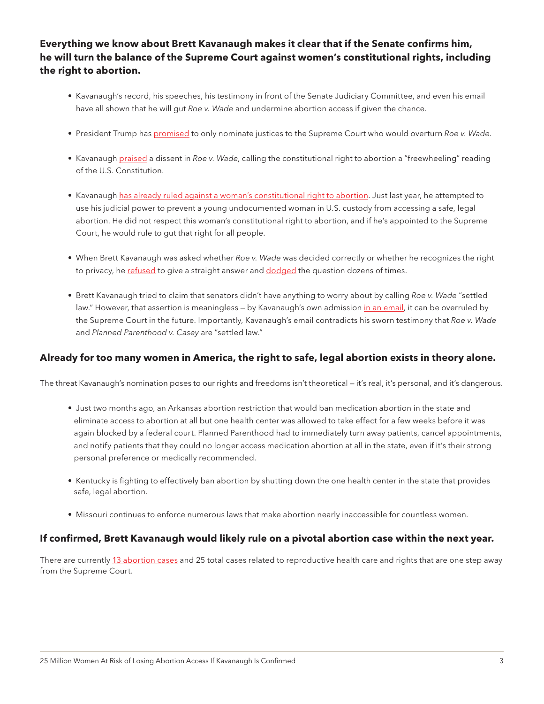# **Everything we know about Brett Kavanaugh makes it clear that if the Senate confirms him, he will turn the balance of the Supreme Court against women's constitutional rights, including the right to abortion.**

- Kavanaugh's record, his speeches, his testimony in front of the Senate Judiciary Committee, and even his email have all shown that he will gut *Roe v. Wade* and undermine abortion access if given the chance.
- President Trump has [promised](https://www.cnbc.com/2016/10/19/trump-ill-appoint-supreme-court-justices-to-overturn-roe-v-wade-abortion-case.html) to only nominate justices to the Supreme Court who would overturn *Roe v. Wade*.
- Kavanaugh [praised](https://www.vox.com/policy-and-politics/2018/7/12/17564048/brett-kavanaugh-roe-wade-views) a dissent in *Roe v. Wade*, calling the constitutional right to abortion a "freewheeling" reading of the U.S. Constitution.
- Kavanaugh [has already ruled against a woman's constitutional right to abortion.](https://slate.com/news-and-politics/2018/07/brett-kavanaugh-has-a-clear-record-against-roe-v-wade.html) Just last year, he attempted to use his judicial power to prevent a young undocumented woman in U.S. custody from accessing a safe, legal abortion. He did not respect this woman's constitutional right to abortion, and if he's appointed to the Supreme Court, he would rule to gut that right for all people.
- When Brett Kavanaugh was asked whether *Roe v. Wade* was decided correctly or whether he recognizes the right to privacy, he [refused](http://www.latimes.com/politics/la-na-pol-senate-kavanaugh-confirmation-20180905-story.html) to give a straight answer and [dodged](https://news.vice.com/en_us/article/bjbwv4/brett-kavanaugh-dodged-abortion-questions-by-saying-he-lives-in-the-real-world) the question dozens of times.
- Brett Kavanaugh tried to claim that senators didn't have anything to worry about by calling *Roe v. Wade* "settled law." However, that assertion is meaningless - by Kavanaugh's own admission [in an email](https://www.huffingtonpost.com/entry/kavanaugh-roe-wade-email-leak_us_5b913519e4b0162f472ab5dc), it can be overruled by the Supreme Court in the future. Importantly, Kavanaugh's email contradicts his sworn testimony that *Roe v. Wade* and *Planned Parenthood v. Casey* are "settled law."

## **Already for too many women in America, the right to safe, legal abortion exists in theory alone.**

The threat Kavanaugh's nomination poses to our rights and freedoms isn't theoretical — it's real, it's personal, and it's dangerous.

- Just two months ago, an Arkansas abortion restriction that would ban medication abortion in the state and eliminate access to abortion at all but one health center was allowed to take effect for a few weeks before it was again blocked by a federal court. Planned Parenthood had to immediately turn away patients, cancel appointments, and notify patients that they could no longer access medication abortion at all in the state, even if it's their strong personal preference or medically recommended.
- Kentucky is fighting to effectively ban abortion by shutting down the one health center in the state that provides safe, legal abortion.
- Missouri continues to enforce numerous laws that make abortion nearly inaccessible for countless women.

## **If confirmed, Brett Kavanaugh would likely rule on a pivotal abortion case within the next year.**

There are currently [13 abortion cases](https://thinkprogress.org/thirteen-cases-that-brett-kavanaugh-can-use-to-kill-roe-v-wade-ca418610b769/) and 25 total cases related to reproductive health care and rights that are one step away from the Supreme Court.